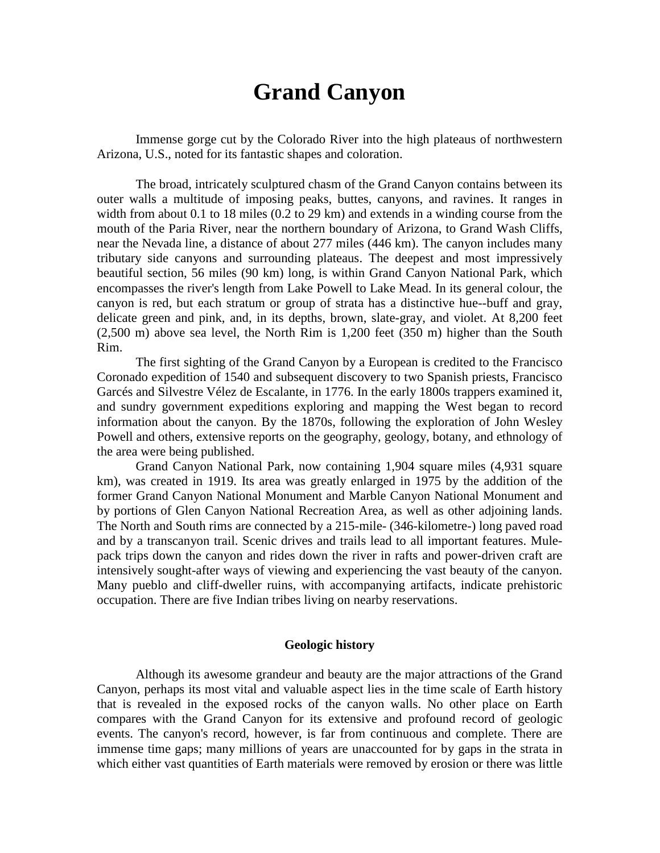## **Grand Canyon**

Immense gorge cut by the Colorado River into the high plateaus of northwestern Arizona, U.S., noted for its fantastic shapes and coloration.

The broad, intricately sculptured chasm of the Grand Canyon contains between its outer walls a multitude of imposing peaks, buttes, canyons, and ravines. It ranges in width from about 0.1 to 18 miles (0.2 to 29 km) and extends in a winding course from the mouth of the Paria River, near the northern boundary of Arizona, to Grand Wash Cliffs, near the Nevada line, a distance of about 277 miles (446 km). The canyon includes many tributary side canyons and surrounding plateaus. The deepest and most impressively beautiful section, 56 miles (90 km) long, is within Grand Canyon National Park, which encompasses the river's length from Lake Powell to Lake Mead. In its general colour, the canyon is red, but each stratum or group of strata has a distinctive hue--buff and gray, delicate green and pink, and, in its depths, brown, slate-gray, and violet. At 8,200 feet (2,500 m) above sea level, the North Rim is 1,200 feet (350 m) higher than the South Rim.

The first sighting of the Grand Canyon by a European is credited to the Francisco Coronado expedition of 1540 and subsequent discovery to two Spanish priests, Francisco Garcés and Silvestre Vélez de Escalante, in 1776. In the early 1800s trappers examined it, and sundry government expeditions exploring and mapping the West began to record information about the canyon. By the 1870s, following the exploration of John Wesley Powell and others, extensive reports on the geography, geology, botany, and ethnology of the area were being published.

Grand Canyon National Park, now containing 1,904 square miles (4,931 square km), was created in 1919. Its area was greatly enlarged in 1975 by the addition of the former Grand Canyon National Monument and Marble Canyon National Monument and by portions of Glen Canyon National Recreation Area, as well as other adjoining lands. The North and South rims are connected by a 215-mile- (346-kilometre-) long paved road and by a transcanyon trail. Scenic drives and trails lead to all important features. Mulepack trips down the canyon and rides down the river in rafts and power-driven craft are intensively sought-after ways of viewing and experiencing the vast beauty of the canyon. Many pueblo and cliff-dweller ruins, with accompanying artifacts, indicate prehistoric occupation. There are five Indian tribes living on nearby reservations.

## **Geologic history**

Although its awesome grandeur and beauty are the major attractions of the Grand Canyon, perhaps its most vital and valuable aspect lies in the time scale of Earth history that is revealed in the exposed rocks of the canyon walls. No other place on Earth compares with the Grand Canyon for its extensive and profound record of geologic events. The canyon's record, however, is far from continuous and complete. There are immense time gaps; many millions of years are unaccounted for by gaps in the strata in which either vast quantities of Earth materials were removed by erosion or there was little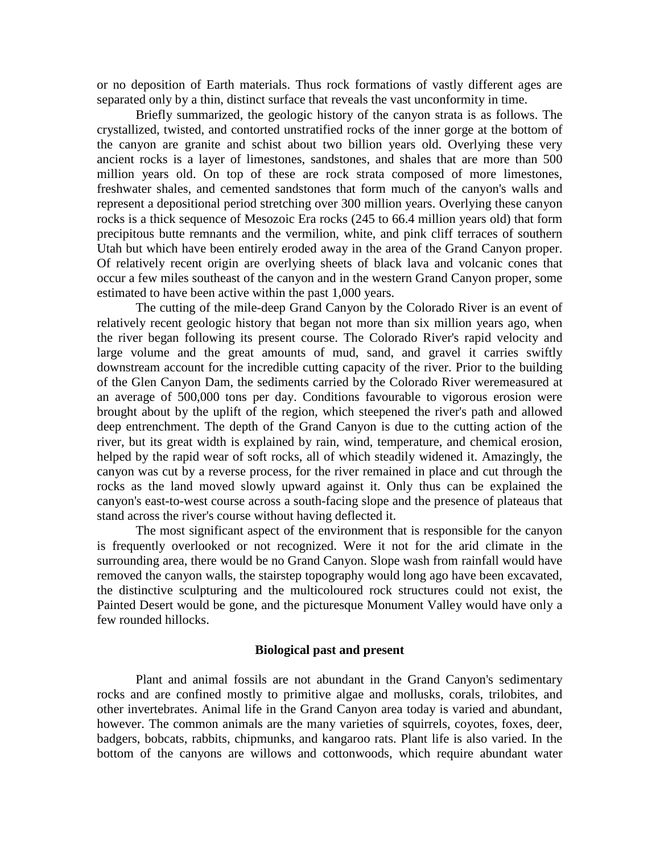or no deposition of Earth materials. Thus rock formations of vastly different ages are separated only by a thin, distinct surface that reveals the vast unconformity in time.

Briefly summarized, the geologic history of the canyon strata is as follows. The crystallized, twisted, and contorted unstratified rocks of the inner gorge at the bottom of the canyon are granite and schist about two billion years old. Overlying these very ancient rocks is a layer of limestones, sandstones, and shales that are more than 500 million years old. On top of these are rock strata composed of more limestones, freshwater shales, and cemented sandstones that form much of the canyon's walls and represent a depositional period stretching over 300 million years. Overlying these canyon rocks is a thick sequence of Mesozoic Era rocks (245 to 66.4 million years old) that form precipitous butte remnants and the vermilion, white, and pink cliff terraces of southern Utah but which have been entirely eroded away in the area of the Grand Canyon proper. Of relatively recent origin are overlying sheets of black lava and volcanic cones that occur a few miles southeast of the canyon and in the western Grand Canyon proper, some estimated to have been active within the past 1,000 years.

The cutting of the mile-deep Grand Canyon by the Colorado River is an event of relatively recent geologic history that began not more than six million years ago, when the river began following its present course. The Colorado River's rapid velocity and large volume and the great amounts of mud, sand, and gravel it carries swiftly downstream account for the incredible cutting capacity of the river. Prior to the building of the Glen Canyon Dam, the sediments carried by the Colorado River weremeasured at an average of 500,000 tons per day. Conditions favourable to vigorous erosion were brought about by the uplift of the region, which steepened the river's path and allowed deep entrenchment. The depth of the Grand Canyon is due to the cutting action of the river, but its great width is explained by rain, wind, temperature, and chemical erosion, helped by the rapid wear of soft rocks, all of which steadily widened it. Amazingly, the canyon was cut by a reverse process, for the river remained in place and cut through the rocks as the land moved slowly upward against it. Only thus can be explained the canyon's east-to-west course across a south-facing slope and the presence of plateaus that stand across the river's course without having deflected it.

The most significant aspect of the environment that is responsible for the canyon is frequently overlooked or not recognized. Were it not for the arid climate in the surrounding area, there would be no Grand Canyon. Slope wash from rainfall would have removed the canyon walls, the stairstep topography would long ago have been excavated, the distinctive sculpturing and the multicoloured rock structures could not exist, the Painted Desert would be gone, and the picturesque Monument Valley would have only a few rounded hillocks.

## **Biological past and present**

Plant and animal fossils are not abundant in the Grand Canyon's sedimentary rocks and are confined mostly to primitive algae and mollusks, corals, trilobites, and other invertebrates. Animal life in the Grand Canyon area today is varied and abundant, however. The common animals are the many varieties of squirrels, coyotes, foxes, deer, badgers, bobcats, rabbits, chipmunks, and kangaroo rats. Plant life is also varied. In the bottom of the canyons are willows and cottonwoods, which require abundant water